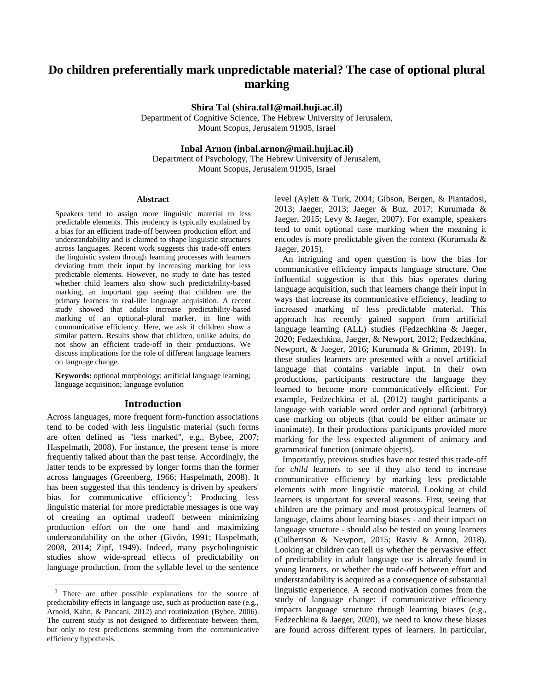# **Do children preferentially mark unpredictable material? The case of optional plural marking**

**Shira Tal (shira.tal1@mail.huji.ac.il)**

Department of Cognitive Science, The Hebrew University of Jerusalem, Mount Scopus, Jerusalem 91905, Israel

**Inbal Arnon (inbal.arnon@mail.huji.ac.il)**

Department of Psychology, The Hebrew University of Jerusalem, Mount Scopus, Jerusalem 91905, Israel

#### **Abstract**

Speakers tend to assign more linguistic material to less predictable elements. This tendency is typically explained by a bias for an efficient trade-off between production effort and understandability and is claimed to shape linguistic structures across languages. Recent work suggests this trade-off enters the linguistic system through learning processes with learners deviating from their input by increasing marking for less predictable elements. However, no study to date has tested whether child learners also show such predictability-based marking, an important gap seeing that children are the primary learners in real-life language acquisition. A recent study showed that adults increase predictability-based marking of an optional-plural marker, in line with communicative efficiency. Here, we ask if children show a similar pattern. Results show that children, unlike adults, do not show an efficient trade-off in their productions. We discuss implications for the role of different language learners on language change.

**Keywords:** optional morphology; artificial language learning; language acquisition; language evolution

#### **Introduction**

Across languages, more frequent form-function associations tend to be coded with less linguistic material (such forms are often defined as "less marked", e.g., Bybee, 2007; Haspelmath, 2008). For instance, the present tense is more frequently talked about than the past tense. Accordingly, the latter tends to be expressed by longer forms than the former across languages (Greenberg, 1966; Haspelmath, 2008). It has been suggested that this tendency is driven by speakers' bias for communicative efficiency<sup>1</sup>: Producing less linguistic material for more predictable messages is one way of creating an optimal tradeoff between minimizing production effort on the one hand and maximizing understandability on the other (Givón, 1991; Haspelmath, 2008, 2014; Zipf, 1949). Indeed, many psycholinguistic studies show wide-spread effects of predictability on language production, from the syllable level to the sentence

l

level (Aylett & Turk, 2004; Gibson, Bergen, & Piantadosi, 2013; Jaeger, 2013; Jaeger & Buz, 2017; Kurumada & Jaeger, 2015; Levy & Jaeger, 2007). For example, speakers tend to omit optional case marking when the meaning it encodes is more predictable given the context (Kurumada & Jaeger, 2015).

An intriguing and open question is how the bias for communicative efficiency impacts language structure. One influential suggestion is that this bias operates during language acquisition, such that learners change their input in ways that increase its communicative efficiency, leading to increased marking of less predictable material. This approach has recently gained support from artificial language learning (ALL) studies (Fedzechkina & Jaeger, 2020; Fedzechkina, Jaeger, & Newport, 2012; Fedzechkina, Newport, & Jaeger, 2016; Kurumada & Grimm, 2019). In these studies learners are presented with a novel artificial language that contains variable input. In their own productions, participants restructure the language they learned to become more communicatively efficient. For example, Fedzechkina et al. (2012) taught participants a language with variable word order and optional (arbitrary) case marking on objects (that could be either animate or inanimate). In their productions participants provided more marking for the less expected alignment of animacy and grammatical function (animate objects).

Importantly, previous studies have not tested this trade-off for *child* learners to see if they also tend to increase communicative efficiency by marking less predictable elements with more linguistic material. Looking at child learners is important for several reasons. First, seeing that children are the primary and most prototypical learners of language, claims about learning biases - and their impact on language structure - should also be tested on young learners (Culbertson & Newport, 2015; Raviv & Arnon, 2018). Looking at children can tell us whether the pervasive effect of predictability in adult language use is already found in young learners, or whether the trade-off between effort and understandability is acquired as a consequence of substantial linguistic experience. A second motivation comes from the study of language change: if communicative efficiency impacts language structure through learning biases (e.g., Fedzechkina & Jaeger, 2020), we need to know these biases are found across different types of learners. In particular,

<sup>&</sup>lt;sup>1</sup> There are other possible explanations for the source of predictability effects in language use, such as production ease (e.g., Arnold, Kahn, & Pancani, 2012) and routinization (Bybee, 2006). The current study is not designed to differentiate between them, but only to test predictions stemming from the communicative efficiency hypothesis.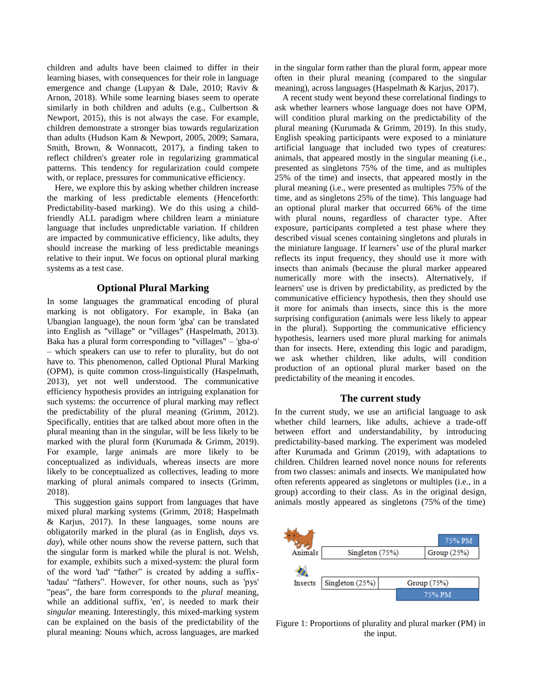children and adults have been claimed to differ in their learning biases, with consequences for their role in language emergence and change (Lupyan & Dale, 2010; Raviv & Arnon, 2018). While some learning biases seem to operate similarly in both children and adults (e.g., Culbertson & Newport, 2015), this is not always the case. For example, children demonstrate a stronger bias towards regularization than adults (Hudson Kam & Newport, 2005, 2009; Samara, Smith, Brown, & Wonnacott, 2017), a finding taken to reflect children's greater role in regularizing grammatical patterns. This tendency for regularization could compete with, or replace, pressures for communicative efficiency.

Here, we explore this by asking whether children increase the marking of less predictable elements (Henceforth: Predictability-based marking). We do this using a childfriendly ALL paradigm where children learn a miniature language that includes unpredictable variation. If children are impacted by communicative efficiency, like adults, they should increase the marking of less predictable meanings relative to their input. We focus on optional plural marking systems as a test case.

## **Optional Plural Marking**

In some languages the grammatical encoding of plural marking is not obligatory. For example, in Baka (an Ubangian language), the noun form 'gba' can be translated into English as "village" or "villages" (Haspelmath, 2013). Baka has a plural form corresponding to "villages" – 'gba-o' – which speakers can use to refer to plurality, but do not have to. This phenomenon, called Optional Plural Marking (OPM), is quite common cross-linguistically (Haspelmath, 2013), yet not well understood. The communicative efficiency hypothesis provides an intriguing explanation for such systems: the occurrence of plural marking may reflect the predictability of the plural meaning (Grimm, 2012). Specifically, entities that are talked about more often in the plural meaning than in the singular, will be less likely to be marked with the plural form (Kurumada & Grimm, 2019). For example, large animals are more likely to be conceptualized as individuals, whereas insects are more likely to be conceptualized as collectives, leading to more marking of plural animals compared to insects (Grimm, 2018).

This suggestion gains support from languages that have mixed plural marking systems (Grimm, 2018; Haspelmath & Karjus, 2017). In these languages, some nouns are obligatorily marked in the plural (as in English, *days* vs. *day*), while other nouns show the reverse pattern, such that the singular form is marked while the plural is not. Welsh, for example, exhibits such a mixed-system: the plural form of the word 'tad' "father" is created by adding a suffix- 'tadau' "fathers". However, for other nouns, such as 'pys' "peas", the bare form corresponds to the *plural* meaning, while an additional suffix, 'en', is needed to mark their *singular* meaning. Interestingly, this mixed-marking system can be explained on the basis of the predictability of the plural meaning: Nouns which, across languages, are marked in the singular form rather than the plural form, appear more often in their plural meaning (compared to the singular meaning), across languages (Haspelmath & Karjus, 2017).

A recent study went beyond these correlational findings to ask whether learners whose language does not have OPM, will condition plural marking on the predictability of the plural meaning (Kurumada & Grimm, 2019). In this study, English speaking participants were exposed to a miniature artificial language that included two types of creatures: animals, that appeared mostly in the singular meaning (i.e., presented as singletons 75% of the time, and as multiples 25% of the time) and insects, that appeared mostly in the plural meaning (i.e., were presented as multiples 75% of the time, and as singletons 25% of the time). This language had an optional plural marker that occurred 66% of the time with plural nouns, regardless of character type. After exposure, participants completed a test phase where they described visual scenes containing singletons and plurals in the miniature language. If learners' use of the plural marker reflects its input frequency, they should use it more with insects than animals (because the plural marker appeared numerically more with the insects). Alternatively, if learners' use is driven by predictability, as predicted by the communicative efficiency hypothesis, then they should use it more for animals than insects, since this is the more surprising configuration (animals were less likely to appear in the plural). Supporting the communicative efficiency hypothesis, learners used more plural marking for animals than for insects. Here, extending this logic and paradigm, we ask whether children, like adults, will condition production of an optional plural marker based on the predictability of the meaning it encodes.

#### **The current study**

In the current study, we use an artificial language to ask whether child learners, like adults, achieve a trade-off between effort and understandability, by introducing predictability-based marking. The experiment was modeled after Kurumada and Grimm (2019), with adaptations to children. Children learned novel nonce nouns for referents from two classes: animals and insects. We manipulated how often referents appeared as singletons or multiples (i.e., in a group) according to their class. As in the original design, animals mostly appeared as singletons (75% of the time)



Figure 1: Proportions of plurality and plural marker (PM) in the input.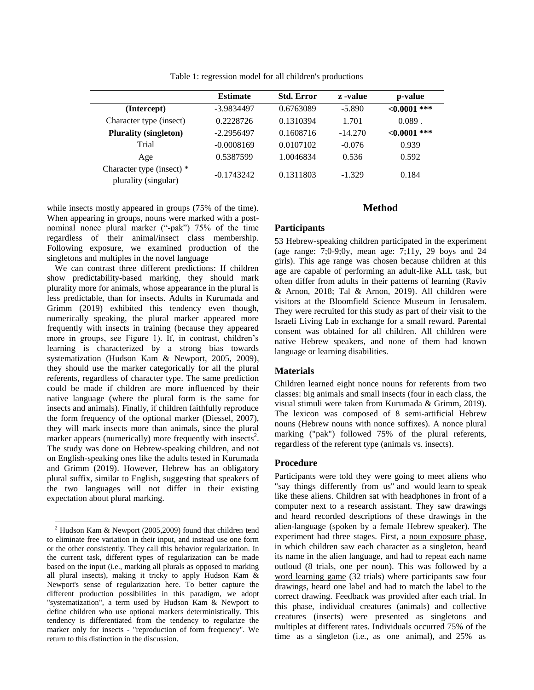|                                                   | <b>Estimate</b> | <b>Std. Error</b> | z -value  | p-value        |
|---------------------------------------------------|-----------------|-------------------|-----------|----------------|
| (Intercept)                                       | -3.9834497      | 0.6763089         | $-5.890$  | $< 0.0001$ *** |
| Character type (insect)                           | 0.2228726       | 0.1310394         | 1.701     | $0.089$ .      |
| <b>Plurality (singleton)</b>                      | $-2.2956497$    | 0.1608716         | $-14.270$ | $< 0.0001$ *** |
| Trial                                             | $-0.0008169$    | 0.0107102         | $-0.076$  | 0.939          |
| Age                                               | 0.5387599       | 1.0046834         | 0.536     | 0.592          |
| Character type (insect) *<br>plurality (singular) | $-0.1743242$    | 0.1311803         | $-1.329$  | 0.184          |

Table 1: regression model for all children's productions

while insects mostly appeared in groups (75% of the time). When appearing in groups, nouns were marked with a postnominal nonce plural marker ("-pak") 75% of the time regardless of their animal/insect class membership. Following exposure, we examined production of the singletons and multiples in the novel language

We can contrast three different predictions: If children show predictability-based marking, they should mark plurality more for animals, whose appearance in the plural is less predictable, than for insects. Adults in Kurumada and Grimm (2019) exhibited this tendency even though, numerically speaking, the plural marker appeared more frequently with insects in training (because they appeared more in groups, see Figure 1). If, in contrast, children's learning is characterized by a strong bias towards systematization (Hudson Kam & Newport, 2005, 2009), they should use the marker categorically for all the plural referents, regardless of character type. The same prediction could be made if children are more influenced by their native language (where the plural form is the same for insects and animals). Finally, if children faithfully reproduce the form frequency of the optional marker (Diessel, 2007), they will mark insects more than animals, since the plural marker appears (numerically) more frequently with insects<sup>2</sup>. The study was done on Hebrew-speaking children, and not on English-speaking ones like the adults tested in Kurumada and Grimm (2019). However, Hebrew has an obligatory plural suffix, similar to English, suggesting that speakers of the two languages will not differ in their existing expectation about plural marking.

l

# **Method**

## **Participants**

53 Hebrew-speaking children participated in the experiment (age range: 7;0-9;0y, mean age: 7;11y, 29 boys and 24 girls). This age range was chosen because children at this age are capable of performing an adult-like ALL task, but often differ from adults in their patterns of learning (Raviv & Arnon, 2018; Tal & Arnon, 2019). All children were visitors at the Bloomfield Science Museum in Jerusalem. They were recruited for this study as part of their visit to the Israeli Living Lab in exchange for a small reward. Parental consent was obtained for all children. All children were native Hebrew speakers, and none of them had known language or learning disabilities.

#### **Materials**

Children learned eight nonce nouns for referents from two classes: big animals and small insects (four in each class, the visual stimuli were taken from Kurumada & Grimm, 2019). The lexicon was composed of 8 semi-artificial Hebrew nouns (Hebrew nouns with nonce suffixes). A nonce plural marking ("pak") followed 75% of the plural referents, regardless of the referent type (animals vs. insects).

#### **Procedure**

Participants were told they were going to meet aliens who "say things differently from us" and would learn to speak like these aliens. Children sat with headphones in front of a computer next to a research assistant. They saw drawings and heard recorded descriptions of these drawings in the alien-language (spoken by a female Hebrew speaker). The experiment had three stages. First, a noun exposure phase, in which children saw each character as a singleton, heard its name in the alien language, and had to repeat each name outloud (8 trials, one per noun). This was followed by a word learning game (32 trials) where participants saw four drawings, heard one label and had to match the label to the correct drawing. Feedback was provided after each trial. In this phase, individual creatures (animals) and collective creatures (insects) were presented as singletons and multiples at different rates. Individuals occurred 75% of the time as a singleton (i.e., as one animal), and 25% as

<sup>2</sup> Hudson Kam & Newport (2005,2009) found that children tend to eliminate free variation in their input, and instead use one form or the other consistently. They call this behavior regularization. In the current task, different types of regularization can be made based on the input (i.e., marking all plurals as opposed to marking all plural insects), making it tricky to apply Hudson Kam & Newport's sense of regularization here. To better capture the different production possibilities in this paradigm, we adopt "systematization", a term used by Hudson Kam & Newport to define children who use optional markers deterministically. This tendency is differentiated from the tendency to regularize the marker only for insects - "reproduction of form frequency". We return to this distinction in the discussion.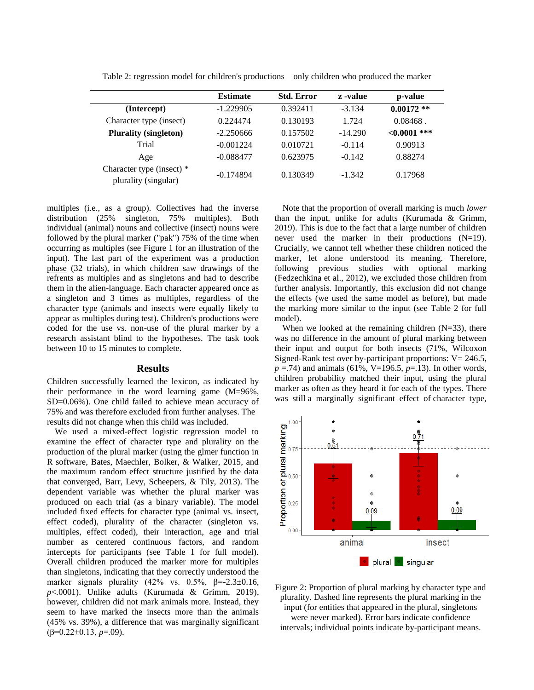|                                                   | <b>Estimate</b> | <b>Std. Error</b> | z -value  | p-value        |  |
|---------------------------------------------------|-----------------|-------------------|-----------|----------------|--|
| (Intercept)                                       | $-1.229905$     | 0.392411          | $-3.134$  | $0.00172**$    |  |
| Character type (insect)                           | 0.224474        | 0.130193          | 1.724     | $0.08468$ .    |  |
| <b>Plurality (singleton)</b>                      | $-2.250666$     | 0.157502          | $-14.290$ | $< 0.0001$ *** |  |
| Trial                                             | $-0.001224$     | 0.010721          | $-0.114$  | 0.90913        |  |
| Age                                               | $-0.088477$     | 0.623975          | $-0.142$  | 0.88274        |  |
| Character type (insect) *<br>plurality (singular) | $-0.174894$     | 0.130349          | $-1.342$  | 0.17968        |  |

Table 2: regression model for children's productions – only children who produced the marker

multiples (i.e., as a group). Collectives had the inverse distribution (25% singleton, 75% multiples). Both individual (animal) nouns and collective (insect) nouns were followed by the plural marker ("pak") 75% of the time when occurring as multiples (see Figure 1 for an illustration of the input). The last part of the experiment was a production phase (32 trials), in which children saw drawings of the refrents as multiples and as singletons and had to describe them in the alien-language. Each character appeared once as a singleton and 3 times as multiples, regardless of the character type (animals and insects were equally likely to appear as multiples during test). Children's productions were coded for the use vs. non-use of the plural marker by a research assistant blind to the hypotheses. The task took between 10 to 15 minutes to complete.

#### **Results**

Children successfully learned the lexicon, as indicated by their performance in the word learning game (M=96%, SD=0.06%). One child failed to achieve mean accuracy of 75% and was therefore excluded from further analyses. The results did not change when this child was included.

We used a mixed-effect logistic regression model to examine the effect of character type and plurality on the production of the plural marker (using the glmer function in R software, Bates, Maechler, Bolker, & Walker, 2015, and the maximum random effect structure justified by the data that converged, Barr, Levy, Scheepers, & Tily, 2013). The dependent variable was whether the plural marker was produced on each trial (as a binary variable). The model included fixed effects for character type (animal vs. insect, effect coded), plurality of the character (singleton vs. multiples, effect coded), their interaction, age and trial number as centered continuous factors, and random intercepts for participants (see Table 1 for full model). Overall children produced the marker more for multiples than singletons, indicating that they correctly understood the marker signals plurality (42% vs.  $0.5\%$ ,  $\beta$ =-2.3±0.16, *p*<.0001). Unlike adults (Kurumada & Grimm, 2019), however, children did not mark animals more. Instead, they seem to have marked the insects more than the animals (45% vs. 39%), a difference that was marginally significant (β=0.22±0.13, *p*=.09).

Note that the proportion of overall marking is much *lower* than the input, unlike for adults (Kurumada & Grimm, 2019). This is due to the fact that a large number of children never used the marker in their productions (N=19). Crucially, we cannot tell whether these children noticed the marker, let alone understood its meaning. Therefore, following previous studies with optional marking (Fedzechkina et al., 2012), we excluded those children from further analysis. Importantly, this exclusion did not change the effects (we used the same model as before), but made the marking more similar to the input (see Table 2 for full model).

When we looked at the remaining children  $(N=33)$ , there was no difference in the amount of plural marking between their input and output for both insects (71%, Wilcoxon Signed-Rank test over by-participant proportions:  $V = 246.5$ , *p* =.74) and animals (61%, V=196.5, *p*=.13). In other words, children probability matched their input, using the plural marker as often as they heard it for each of the types. There was still a marginally significant effect of character type,



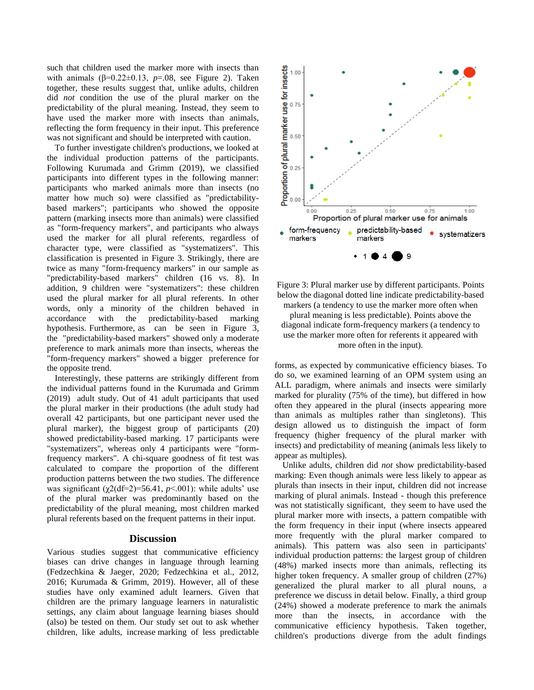such that children used the marker more with insects than with animals  $(\beta=0.22\pm0.13, p=.08$ , see Figure 2). Taken together, these results suggest that, unlike adults, children did *not* condition the use of the plural marker on the predictability of the plural meaning. Instead, they seem to have used the marker more with insects than animals, reflecting the form frequency in their input. This preference was not significant and should be interpreted with caution.

To further investigate children's productions, we looked at the individual production patterns of the participants. Following Kurumada and Grimm (2019), we classified participants into different types in the following manner: participants who marked animals more than insects (no matter how much so) were classified as "predictabilitybased markers"; participants who showed the opposite pattern (marking insects more than animals) were classified as "form-frequency markers", and participants who always used the marker for all plural referents, regardless of character type, were classified as "systematizers". This classification is presented in Figure 3. Strikingly, there are twice as many "form-frequency markers" in our sample as "predictability-based markers" children (16 vs. 8). In addition, 9 children were "systematizers": these children used the plural marker for all plural referents. In other words, only a minority of the children behaved in accordance with the predictability-based marking hypothesis. Furthermore, as can be seen in Figure 3, the "predictability-based markers" showed only a moderate preference to mark animals more than insects, whereas the "form-frequency markers" showed a bigger preference for the opposite trend.

Interestingly, these patterns are strikingly different from the individual patterns found in the Kurumada and Grimm (2019) adult study. Out of 41 adult participants that used the plural marker in their productions (the adult study had overall 42 participants, but one participant never used the plural marker), the biggest group of participants (20) showed predictability-based marking. 17 participants were "systematizers", whereas only 4 participants were "formfrequency markers". A chi-square goodness of fit test was calculated to compare the proportion of the different production patterns between the two studies. The difference was significant  $(\chi^2(df=2)=56.41, p<.001)$ : while adults' use of the plural marker was predominantly based on the predictability of the plural meaning, most children marked plural referents based on the frequent patterns in their input.

#### **Discussion**

Various studies suggest that communicative efficiency biases can drive changes in language through learning (Fedzechkina & Jaeger, 2020; Fedzechkina et al., 2012, 2016; Kurumada & Grimm, 2019). However, all of these studies have only examined adult learners. Given that children are the primary language learners in naturalistic settings, any claim about language learning biases should (also) be tested on them. Our study set out to ask whether children, like adults, increase marking of less predictable



Figure 3: Plural marker use by different participants. Points below the diagonal dotted line indicate predictability-based markers (a tendency to use the marker more often when plural meaning is less predictable). Points above the diagonal indicate form-frequency markers (a tendency to use the marker more often for referents it appeared with more often in the input).

forms, as expected by communicative efficiency biases. To do so, we examined learning of an OPM system using an ALL paradigm, where animals and insects were similarly marked for plurality (75% of the time), but differed in how often they appeared in the plural (insects appearing more than animals as multiples rather than singletons). This design allowed us to distinguish the impact of form frequency (higher frequency of the plural marker with insects) and predictability of meaning (animals less likely to appear as multiples).

Unlike adults, children did *not* show predictability-based marking: Even though animals were less likely to appear as plurals than insects in their input, children did not increase marking of plural animals. Instead - though this preference was not statistically significant, they seem to have used the plural marker more with insects, a pattern compatible with the form frequency in their input (where insects appeared more frequently with the plural marker compared to animals). This pattern was also seen in participants' individual production patterns: the largest group of children (48%) marked insects more than animals, reflecting its higher token frequency. A smaller group of children (27%) generalized the plural marker to all plural nouns, a preference we discuss in detail below. Finally, a third group (24%) showed a moderate preference to mark the animals more than the insects, in accordance with the communicative efficiency hypothesis. Taken together, children's productions diverge from the adult findings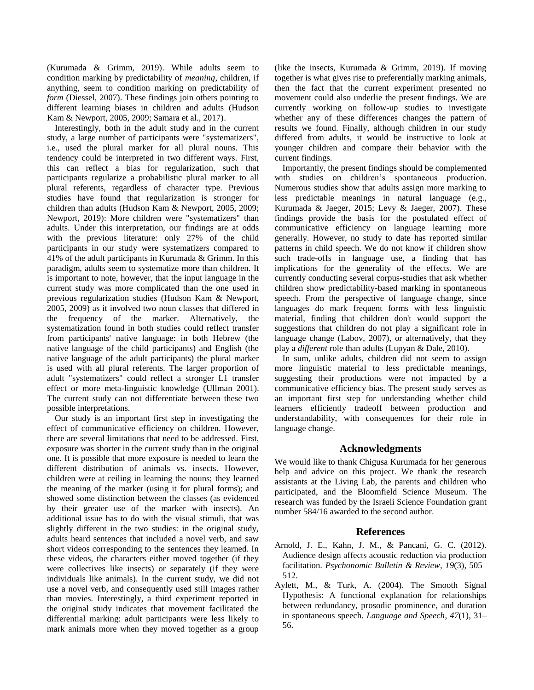(Kurumada & Grimm, 2019). While adults seem to condition marking by predictability of *meaning*, children, if anything, seem to condition marking on predictability of *form* (Diessel, 2007). These findings join others pointing to different learning biases in children and adults (Hudson Kam & Newport, 2005, 2009; Samara et al., 2017).

Interestingly, both in the adult study and in the current study, a large number of participants were "systematizers", i.e., used the plural marker for all plural nouns. This tendency could be interpreted in two different ways. First, this can reflect a bias for regularization, such that participants regularize a probabilistic plural marker to all plural referents, regardless of character type. Previous studies have found that regularization is stronger for children than adults (Hudson Kam & Newport, 2005, 2009; Newport, 2019): More children were "systematizers" than adults. Under this interpretation, our findings are at odds with the previous literature: only 27% of the child participants in our study were systematizers compared to 41% of the adult participants in Kurumada & Grimm. In this paradigm, adults seem to systematize more than children. It is important to note, however, that the input language in the current study was more complicated than the one used in previous regularization studies (Hudson Kam & Newport, 2005, 2009) as it involved two noun classes that differed in the frequency of the marker. Alternatively, the systematization found in both studies could reflect transfer from participants' native language: in both Hebrew (the native language of the child participants) and English (the native language of the adult participants) the plural marker is used with all plural referents. The larger proportion of adult "systematizers" could reflect a stronger L1 transfer effect or more meta-linguistic knowledge (Ullman 2001). The current study can not differentiate between these two possible interpretations.

Our study is an important first step in investigating the effect of communicative efficiency on children. However, there are several limitations that need to be addressed. First, exposure was shorter in the current study than in the original one. It is possible that more exposure is needed to learn the different distribution of animals vs. insects. However, children were at ceiling in learning the nouns; they learned the meaning of the marker (using it for plural forms); and showed some distinction between the classes (as evidenced by their greater use of the marker with insects). An additional issue has to do with the visual stimuli, that was slightly different in the two studies: in the original study, adults heard sentences that included a novel verb, and saw short videos corresponding to the sentences they learned. In these videos, the characters either moved together (if they were collectives like insects) or separately (if they were individuals like animals). In the current study, we did not use a novel verb, and consequently used still images rather than movies. Interestingly, a third experiment reported in the original study indicates that movement facilitated the differential marking: adult participants were less likely to mark animals more when they moved together as a group (like the insects, Kurumada & Grimm, 2019). If moving together is what gives rise to preferentially marking animals, then the fact that the current experiment presented no movement could also underlie the present findings. We are currently working on follow-up studies to investigate whether any of these differences changes the pattern of results we found. Finally, although children in our study differed from adults, it would be instructive to look at younger children and compare their behavior with the current findings.

Importantly, the present findings should be complemented with studies on children's spontaneous production. Numerous studies show that adults assign more marking to less predictable meanings in natural language (e.g., Kurumada & Jaeger, 2015; Levy & Jaeger, 2007). These findings provide the basis for the postulated effect of communicative efficiency on language learning more generally. However, no study to date has reported similar patterns in child speech. We do not know if children show such trade-offs in language use, a finding that has implications for the generality of the effects. We are currently conducting several corpus-studies that ask whether children show predictability-based marking in spontaneous speech. From the perspective of language change, since languages do mark frequent forms with less linguistic material, finding that children don't would support the suggestions that children do not play a significant role in language change (Labov, 2007), or alternatively, that they play a *different* role than adults (Lupyan & Dale, 2010).

In sum, unlike adults, children did not seem to assign more linguistic material to less predictable meanings, suggesting their productions were not impacted by a communicative efficiency bias. The present study serves as an important first step for understanding whether child learners efficiently tradeoff between production and understandability, with consequences for their role in language change.

#### **Acknowledgments**

We would like to thank Chigusa Kurumada for her generous help and advice on this project. We thank the research assistants at the Living Lab, the parents and children who participated, and the Bloomfield Science Museum. The research was funded by the Israeli Science Foundation grant number 584/16 awarded to the second author.

#### **References**

- Arnold, J. E., Kahn, J. M., & Pancani, G. C. (2012). Audience design affects acoustic reduction via production facilitation. *Psychonomic Bulletin & Review*, *19*(3), 505– 512.
- Aylett, M., & Turk, A. (2004). The Smooth Signal Hypothesis: A functional explanation for relationships between redundancy, prosodic prominence, and duration in spontaneous speech. *Language and Speech*, *47*(1), 31– 56.